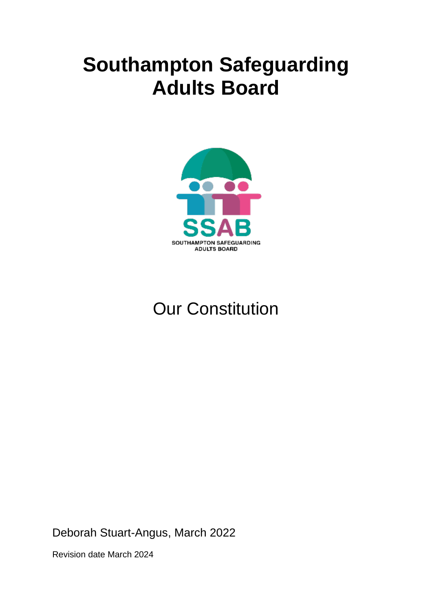# **Southampton Safeguarding Adults Board**



# Our Constitution

Deborah Stuart-Angus, March 2022

Revision date March 2024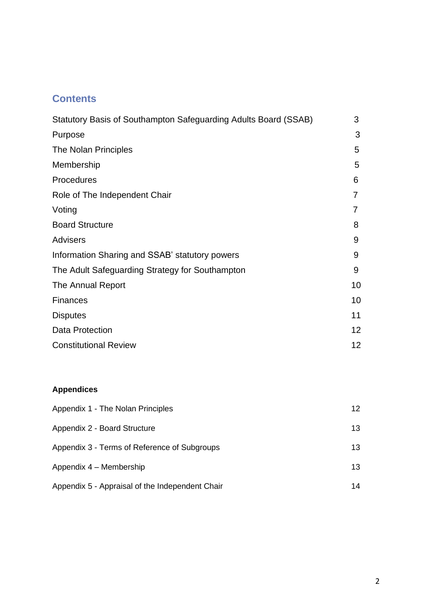#### **Contents**

| Statutory Basis of Southampton Safeguarding Adults Board (SSAB) | 3  |
|-----------------------------------------------------------------|----|
| Purpose                                                         | 3  |
| The Nolan Principles                                            | 5  |
| Membership                                                      | 5  |
| Procedures                                                      | 6  |
| Role of The Independent Chair                                   | 7  |
| Voting                                                          | 7  |
| <b>Board Structure</b>                                          | 8  |
| <b>Advisers</b>                                                 | 9  |
| Information Sharing and SSAB' statutory powers                  | 9  |
| The Adult Safeguarding Strategy for Southampton                 | 9  |
| The Annual Report                                               | 10 |
| <b>Finances</b>                                                 | 10 |
| <b>Disputes</b>                                                 | 11 |
| <b>Data Protection</b>                                          | 12 |
| <b>Constitutional Review</b>                                    | 12 |

#### **Appendices**

| Appendix 1 - The Nolan Principles               | 12 |
|-------------------------------------------------|----|
| Appendix 2 - Board Structure                    | 13 |
| Appendix 3 - Terms of Reference of Subgroups    | 13 |
| Appendix 4 – Membership                         | 13 |
| Appendix 5 - Appraisal of the Independent Chair | 14 |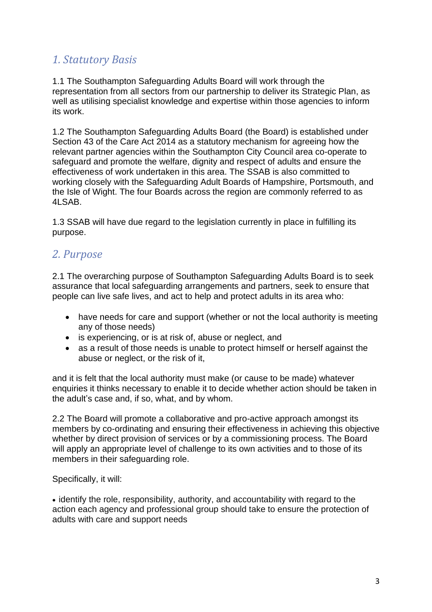### *1. Statutory Basis*

1.1 The Southampton Safeguarding Adults Board will work through the representation from all sectors from our partnership to deliver its Strategic Plan, as well as utilising specialist knowledge and expertise within those agencies to inform its work.

1.2 The Southampton Safeguarding Adults Board (the Board) is established under Section 43 of the Care Act 2014 as a statutory mechanism for agreeing how the relevant partner agencies within the Southampton City Council area co-operate to safeguard and promote the welfare, dignity and respect of adults and ensure the effectiveness of work undertaken in this area. The SSAB is also committed to working closely with the Safeguarding Adult Boards of Hampshire, Portsmouth, and the Isle of Wight. The four Boards across the region are commonly referred to as 4LSAB.

1.3 SSAB will have due regard to the legislation currently in place in fulfilling its purpose.

#### *2. Purpose*

2.1 The overarching purpose of Southampton Safeguarding Adults Board is to seek assurance that local safeguarding arrangements and partners, seek to ensure that people can live safe lives, and act to help and protect adults in its area who:

- have needs for care and support (whether or not the local authority is meeting any of those needs)
- is experiencing, or is at risk of, abuse or neglect, and
- as a result of those needs is unable to protect himself or herself against the abuse or neglect, or the risk of it,

and it is felt that the local authority must make (or cause to be made) whatever enquiries it thinks necessary to enable it to decide whether action should be taken in the adult's case and, if so, what, and by whom.

2.2 The Board will promote a collaborative and pro-active approach amongst its members by co-ordinating and ensuring their effectiveness in achieving this objective whether by direct provision of services or by a commissioning process. The Board will apply an appropriate level of challenge to its own activities and to those of its members in their safeguarding role.

Specifically, it will:

• identify the role, responsibility, authority, and accountability with regard to the action each agency and professional group should take to ensure the protection of adults with care and support needs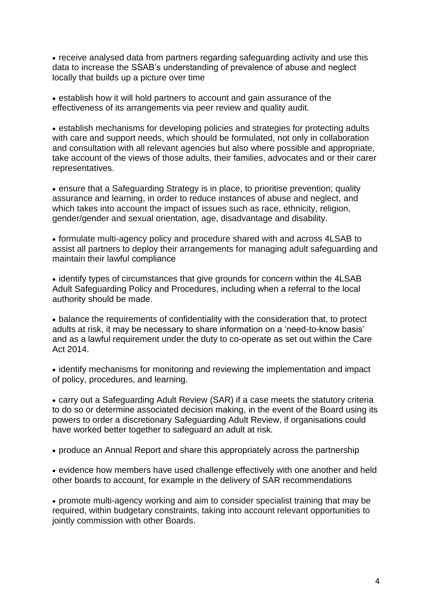• receive analysed data from partners regarding safeguarding activity and use this data to increase the SSAB's understanding of prevalence of abuse and neglect locally that builds up a picture over time

• establish how it will hold partners to account and gain assurance of the effectiveness of its arrangements via peer review and quality audit.

• establish mechanisms for developing policies and strategies for protecting adults with care and support needs, which should be formulated, not only in collaboration and consultation with all relevant agencies but also where possible and appropriate, take account of the views of those adults, their families, advocates and or their carer representatives.

• ensure that a Safeguarding Strategy is in place, to prioritise prevention; quality assurance and learning, in order to reduce instances of abuse and neglect, and which takes into account the impact of issues such as race, ethnicity, religion, gender/gender and sexual orientation, age, disadvantage and disability.

• formulate multi-agency policy and procedure shared with and across 4LSAB to assist all partners to deploy their arrangements for managing adult safeguarding and maintain their lawful compliance

• identify types of circumstances that give grounds for concern within the 4LSAB Adult Safeguarding Policy and Procedures, including when a referral to the local authority should be made.

• balance the requirements of confidentiality with the consideration that, to protect adults at risk, it may be necessary to share information on a 'need-to-know basis' and as a lawful requirement under the duty to co-operate as set out within the Care Act 2014.

• identify mechanisms for monitoring and reviewing the implementation and impact of policy, procedures, and learning.

• carry out a Safeguarding Adult Review (SAR) if a case meets the statutory criteria to do so or determine associated decision making, in the event of the Board using its powers to order a discretionary Safeguarding Adult Review, if organisations could have worked better together to safeguard an adult at risk.

• produce an Annual Report and share this appropriately across the partnership

• evidence how members have used challenge effectively with one another and held other boards to account, for example in the delivery of SAR recommendations

• promote multi-agency working and aim to consider specialist training that may be required, within budgetary constraints, taking into account relevant opportunities to jointly commission with other Boards.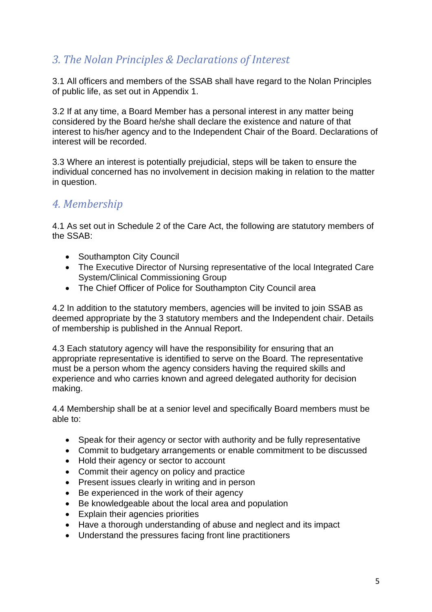## *3. The Nolan Principles & Declarations of Interest*

3.1 All officers and members of the SSAB shall have regard to the Nolan Principles of public life, as set out in Appendix 1.

3.2 If at any time, a Board Member has a personal interest in any matter being considered by the Board he/she shall declare the existence and nature of that interest to his/her agency and to the Independent Chair of the Board. Declarations of interest will be recorded.

3.3 Where an interest is potentially prejudicial, steps will be taken to ensure the individual concerned has no involvement in decision making in relation to the matter in question.

### *4. Membership*

4.1 As set out in Schedule 2 of the Care Act, the following are statutory members of the SSAB:

- Southampton City Council
- The Executive Director of Nursing representative of the local Integrated Care System/Clinical Commissioning Group
- The Chief Officer of Police for Southampton City Council area

4.2 In addition to the statutory members, agencies will be invited to join SSAB as deemed appropriate by the 3 statutory members and the Independent chair. Details of membership is published in the Annual Report.

4.3 Each statutory agency will have the responsibility for ensuring that an appropriate representative is identified to serve on the Board. The representative must be a person whom the agency considers having the required skills and experience and who carries known and agreed delegated authority for decision making.

4.4 Membership shall be at a senior level and specifically Board members must be able to:

- Speak for their agency or sector with authority and be fully representative
- Commit to budgetary arrangements or enable commitment to be discussed
- Hold their agency or sector to account
- Commit their agency on policy and practice
- Present issues clearly in writing and in person
- Be experienced in the work of their agency
- Be knowledgeable about the local area and population
- Explain their agencies priorities
- Have a thorough understanding of abuse and neglect and its impact
- Understand the pressures facing front line practitioners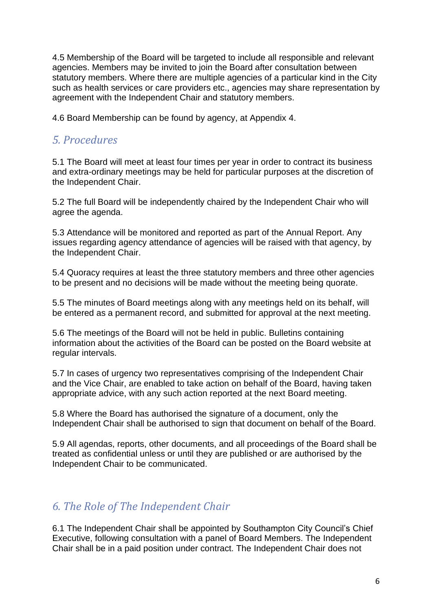4.5 Membership of the Board will be targeted to include all responsible and relevant agencies. Members may be invited to join the Board after consultation between statutory members. Where there are multiple agencies of a particular kind in the City such as health services or care providers etc., agencies may share representation by agreement with the Independent Chair and statutory members.

4.6 Board Membership can be found by agency, at Appendix 4.

## *5. Procedures*

5.1 The Board will meet at least four times per year in order to contract its business and extra-ordinary meetings may be held for particular purposes at the discretion of the Independent Chair.

5.2 The full Board will be independently chaired by the Independent Chair who will agree the agenda.

5.3 Attendance will be monitored and reported as part of the Annual Report. Any issues regarding agency attendance of agencies will be raised with that agency, by the Independent Chair.

5.4 Quoracy requires at least the three statutory members and three other agencies to be present and no decisions will be made without the meeting being quorate.

5.5 The minutes of Board meetings along with any meetings held on its behalf, will be entered as a permanent record, and submitted for approval at the next meeting.

5.6 The meetings of the Board will not be held in public. Bulletins containing information about the activities of the Board can be posted on the Board website at regular intervals.

5.7 In cases of urgency two representatives comprising of the Independent Chair and the Vice Chair, are enabled to take action on behalf of the Board, having taken appropriate advice, with any such action reported at the next Board meeting.

5.8 Where the Board has authorised the signature of a document, only the Independent Chair shall be authorised to sign that document on behalf of the Board.

5.9 All agendas, reports, other documents, and all proceedings of the Board shall be treated as confidential unless or until they are published or are authorised by the Independent Chair to be communicated.

# *6. The Role of The Independent Chair*

6.1 The Independent Chair shall be appointed by Southampton City Council's Chief Executive, following consultation with a panel of Board Members. The Independent Chair shall be in a paid position under contract. The Independent Chair does not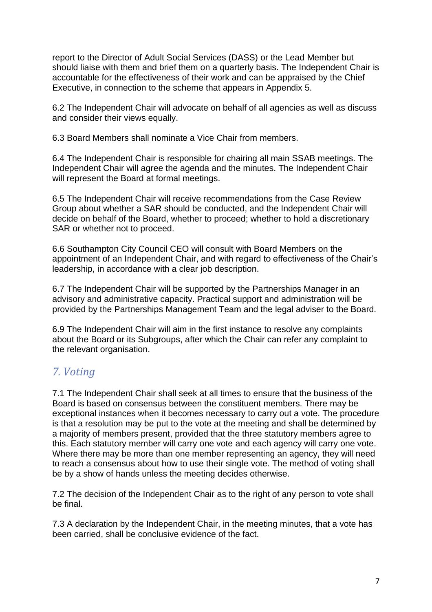report to the Director of Adult Social Services (DASS) or the Lead Member but should liaise with them and brief them on a quarterly basis. The Independent Chair is accountable for the effectiveness of their work and can be appraised by the Chief Executive, in connection to the scheme that appears in Appendix 5.

6.2 The Independent Chair will advocate on behalf of all agencies as well as discuss and consider their views equally.

6.3 Board Members shall nominate a Vice Chair from members.

6.4 The Independent Chair is responsible for chairing all main SSAB meetings. The Independent Chair will agree the agenda and the minutes. The Independent Chair will represent the Board at formal meetings.

6.5 The Independent Chair will receive recommendations from the Case Review Group about whether a SAR should be conducted, and the Independent Chair will decide on behalf of the Board, whether to proceed; whether to hold a discretionary SAR or whether not to proceed.

6.6 Southampton City Council CEO will consult with Board Members on the appointment of an Independent Chair, and with regard to effectiveness of the Chair's leadership, in accordance with a clear job description.

6.7 The Independent Chair will be supported by the Partnerships Manager in an advisory and administrative capacity. Practical support and administration will be provided by the Partnerships Management Team and the legal adviser to the Board.

6.9 The Independent Chair will aim in the first instance to resolve any complaints about the Board or its Subgroups, after which the Chair can refer any complaint to the relevant organisation.

## *7. Voting*

7.1 The Independent Chair shall seek at all times to ensure that the business of the Board is based on consensus between the constituent members. There may be exceptional instances when it becomes necessary to carry out a vote. The procedure is that a resolution may be put to the vote at the meeting and shall be determined by a majority of members present, provided that the three statutory members agree to this. Each statutory member will carry one vote and each agency will carry one vote. Where there may be more than one member representing an agency, they will need to reach a consensus about how to use their single vote. The method of voting shall be by a show of hands unless the meeting decides otherwise.

7.2 The decision of the Independent Chair as to the right of any person to vote shall be final.

7.3 A declaration by the Independent Chair, in the meeting minutes, that a vote has been carried, shall be conclusive evidence of the fact.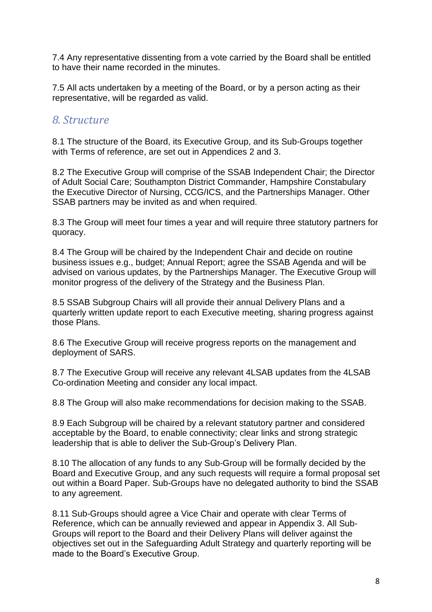7.4 Any representative dissenting from a vote carried by the Board shall be entitled to have their name recorded in the minutes.

7.5 All acts undertaken by a meeting of the Board, or by a person acting as their representative, will be regarded as valid.

#### *8. Structure*

8.1 The structure of the Board, its Executive Group, and its Sub-Groups together with Terms of reference, are set out in Appendices 2 and 3.

8.2 The Executive Group will comprise of the SSAB Independent Chair; the Director of Adult Social Care; Southampton District Commander, Hampshire Constabulary the Executive Director of Nursing, CCG/ICS, and the Partnerships Manager. Other SSAB partners may be invited as and when required.

8.3 The Group will meet four times a year and will require three statutory partners for quoracy.

8.4 The Group will be chaired by the Independent Chair and decide on routine business issues e.g., budget; Annual Report; agree the SSAB Agenda and will be advised on various updates, by the Partnerships Manager. The Executive Group will monitor progress of the delivery of the Strategy and the Business Plan.

8.5 SSAB Subgroup Chairs will all provide their annual Delivery Plans and a quarterly written update report to each Executive meeting, sharing progress against those Plans.

8.6 The Executive Group will receive progress reports on the management and deployment of SARS.

8.7 The Executive Group will receive any relevant 4LSAB updates from the 4LSAB Co-ordination Meeting and consider any local impact.

8.8 The Group will also make recommendations for decision making to the SSAB.

8.9 Each Subgroup will be chaired by a relevant statutory partner and considered acceptable by the Board, to enable connectivity; clear links and strong strategic leadership that is able to deliver the Sub-Group's Delivery Plan.

8.10 The allocation of any funds to any Sub-Group will be formally decided by the Board and Executive Group, and any such requests will require a formal proposal set out within a Board Paper. Sub-Groups have no delegated authority to bind the SSAB to any agreement.

8.11 Sub-Groups should agree a Vice Chair and operate with clear Terms of Reference, which can be annually reviewed and appear in Appendix 3. All Sub-Groups will report to the Board and their Delivery Plans will deliver against the objectives set out in the Safeguarding Adult Strategy and quarterly reporting will be made to the Board's Executive Group.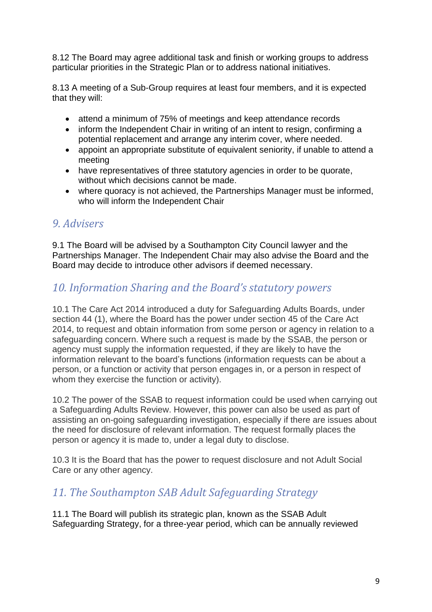8.12 The Board may agree additional task and finish or working groups to address particular priorities in the Strategic Plan or to address national initiatives.

8.13 A meeting of a Sub-Group requires at least four members, and it is expected that they will:

- attend a minimum of 75% of meetings and keep attendance records
- inform the Independent Chair in writing of an intent to resign, confirming a potential replacement and arrange any interim cover, where needed.
- appoint an appropriate substitute of equivalent seniority, if unable to attend a meeting
- have representatives of three statutory agencies in order to be quorate, without which decisions cannot be made.
- where quoracy is not achieved, the Partnerships Manager must be informed, who will inform the Independent Chair

#### *9. Advisers*

9.1 The Board will be advised by a Southampton City Council lawyer and the Partnerships Manager. The Independent Chair may also advise the Board and the Board may decide to introduce other advisors if deemed necessary.

## *10. Information Sharing and the Board's statutory powers*

10.1 The Care Act 2014 introduced a duty for Safeguarding Adults Boards, under section 44 (1), where the Board has the power under section 45 of the Care Act 2014, to request and obtain information from some person or agency in relation to a safeguarding concern. Where such a request is made by the SSAB, the person or agency must supply the information requested, if they are likely to have the information relevant to the board's functions (information requests can be about a person, or a function or activity that person engages in, or a person in respect of whom they exercise the function or activity).

10.2 The power of the SSAB to request information could be used when carrying out a Safeguarding Adults Review. However, this power can also be used as part of assisting an on-going safeguarding investigation, especially if there are issues about the need for disclosure of relevant information. The request formally places the person or agency it is made to, under a legal duty to disclose.

10.3 It is the Board that has the power to request disclosure and not Adult Social Care or any other agency.

## *11. The Southampton SAB Adult Safeguarding Strategy*

11.1 The Board will publish its strategic plan, known as the SSAB Adult Safeguarding Strategy, for a three-year period, which can be annually reviewed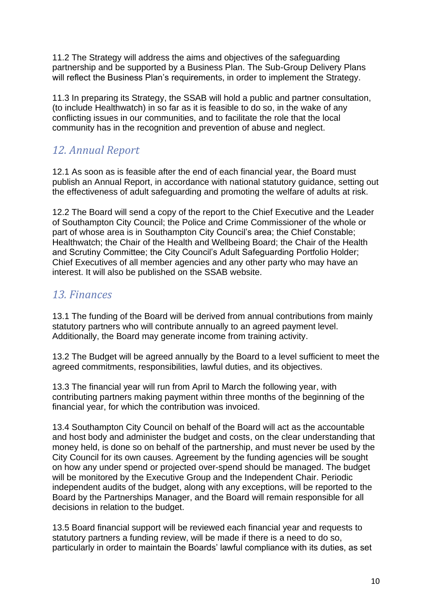11.2 The Strategy will address the aims and objectives of the safeguarding partnership and be supported by a Business Plan. The Sub-Group Delivery Plans will reflect the Business Plan's requirements, in order to implement the Strategy.

11.3 In preparing its Strategy, the SSAB will hold a public and partner consultation, (to include Healthwatch) in so far as it is feasible to do so, in the wake of any conflicting issues in our communities, and to facilitate the role that the local community has in the recognition and prevention of abuse and neglect.

# *12. Annual Report*

12.1 As soon as is feasible after the end of each financial year, the Board must publish an Annual Report, in accordance with national statutory guidance, setting out the effectiveness of adult safeguarding and promoting the welfare of adults at risk.

12.2 The Board will send a copy of the report to the Chief Executive and the Leader of Southampton City Council; the Police and Crime Commissioner of the whole or part of whose area is in Southampton City Council's area; the Chief Constable; Healthwatch; the Chair of the Health and Wellbeing Board; the Chair of the Health and Scrutiny Committee; the City Council's Adult Safeguarding Portfolio Holder; Chief Executives of all member agencies and any other party who may have an interest. It will also be published on the SSAB website.

#### *13. Finances*

13.1 The funding of the Board will be derived from annual contributions from mainly statutory partners who will contribute annually to an agreed payment level. Additionally, the Board may generate income from training activity.

13.2 The Budget will be agreed annually by the Board to a level sufficient to meet the agreed commitments, responsibilities, lawful duties, and its objectives.

13.3 The financial year will run from April to March the following year, with contributing partners making payment within three months of the beginning of the financial year, for which the contribution was invoiced.

13.4 Southampton City Council on behalf of the Board will act as the accountable and host body and administer the budget and costs, on the clear understanding that money held, is done so on behalf of the partnership, and must never be used by the City Council for its own causes. Agreement by the funding agencies will be sought on how any under spend or projected over-spend should be managed. The budget will be monitored by the Executive Group and the Independent Chair. Periodic independent audits of the budget, along with any exceptions, will be reported to the Board by the Partnerships Manager, and the Board will remain responsible for all decisions in relation to the budget.

13.5 Board financial support will be reviewed each financial year and requests to statutory partners a funding review, will be made if there is a need to do so, particularly in order to maintain the Boards' lawful compliance with its duties, as set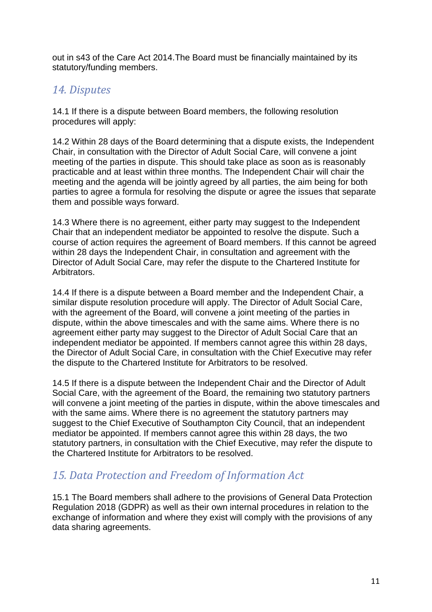out in s43 of the Care Act 2014.The Board must be financially maintained by its statutory/funding members.

#### *14. Disputes*

14.1 If there is a dispute between Board members, the following resolution procedures will apply:

14.2 Within 28 days of the Board determining that a dispute exists, the Independent Chair, in consultation with the Director of Adult Social Care, will convene a joint meeting of the parties in dispute. This should take place as soon as is reasonably practicable and at least within three months. The Independent Chair will chair the meeting and the agenda will be jointly agreed by all parties, the aim being for both parties to agree a formula for resolving the dispute or agree the issues that separate them and possible ways forward.

14.3 Where there is no agreement, either party may suggest to the Independent Chair that an independent mediator be appointed to resolve the dispute. Such a course of action requires the agreement of Board members. If this cannot be agreed within 28 days the Independent Chair, in consultation and agreement with the Director of Adult Social Care, may refer the dispute to the Chartered Institute for Arbitrators.

14.4 If there is a dispute between a Board member and the Independent Chair, a similar dispute resolution procedure will apply. The Director of Adult Social Care, with the agreement of the Board, will convene a joint meeting of the parties in dispute, within the above timescales and with the same aims. Where there is no agreement either party may suggest to the Director of Adult Social Care that an independent mediator be appointed. If members cannot agree this within 28 days, the Director of Adult Social Care, in consultation with the Chief Executive may refer the dispute to the Chartered Institute for Arbitrators to be resolved.

14.5 If there is a dispute between the Independent Chair and the Director of Adult Social Care, with the agreement of the Board, the remaining two statutory partners will convene a joint meeting of the parties in dispute, within the above timescales and with the same aims. Where there is no agreement the statutory partners may suggest to the Chief Executive of Southampton City Council, that an independent mediator be appointed. If members cannot agree this within 28 days, the two statutory partners, in consultation with the Chief Executive, may refer the dispute to the Chartered Institute for Arbitrators to be resolved.

## *15. Data Protection and Freedom of Information Act*

15.1 The Board members shall adhere to the provisions of General Data Protection Regulation 2018 (GDPR) as well as their own internal procedures in relation to the exchange of information and where they exist will comply with the provisions of any data sharing agreements.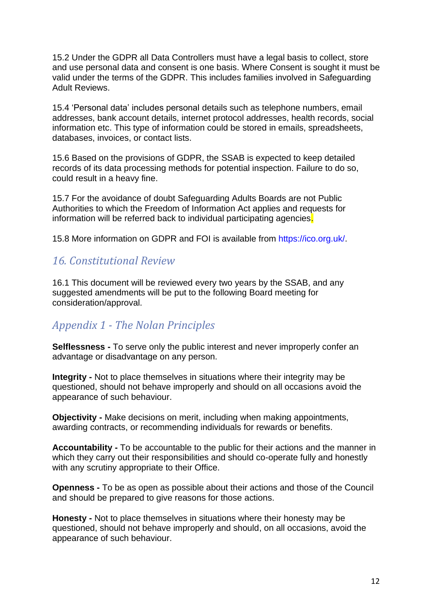15.2 Under the GDPR all Data Controllers must have a legal basis to collect, store and use personal data and consent is one basis. Where Consent is sought it must be valid under the terms of the GDPR. This includes families involved in Safeguarding Adult Reviews.

15.4 'Personal data' includes personal details such as telephone numbers, email addresses, bank account details, internet protocol addresses, health records, social information etc. This type of information could be stored in emails, spreadsheets, databases, invoices, or contact lists.

15.6 Based on the provisions of GDPR, the SSAB is expected to keep detailed records of its data processing methods for potential inspection. Failure to do so, could result in a heavy fine.

15.7 For the avoidance of doubt Safeguarding Adults Boards are not Public Authorities to which the Freedom of Information Act applies and requests for information will be referred back to individual participating agencies.

15.8 More information on GDPR and FOI is available from https://ico.org.uk/.

#### *16. Constitutional Review*

16.1 This document will be reviewed every two years by the SSAB, and any suggested amendments will be put to the following Board meeting for consideration/approval.

#### *Appendix 1 - The Nolan Principles*

**Selflessness -** To serve only the public interest and never improperly confer an advantage or disadvantage on any person.

**Integrity -** Not to place themselves in situations where their integrity may be questioned, should not behave improperly and should on all occasions avoid the appearance of such behaviour.

**Objectivity -** Make decisions on merit, including when making appointments, awarding contracts, or recommending individuals for rewards or benefits.

**Accountability -** To be accountable to the public for their actions and the manner in which they carry out their responsibilities and should co-operate fully and honestly with any scrutiny appropriate to their Office.

**Openness -** To be as open as possible about their actions and those of the Council and should be prepared to give reasons for those actions.

**Honesty -** Not to place themselves in situations where their honesty may be questioned, should not behave improperly and should, on all occasions, avoid the appearance of such behaviour.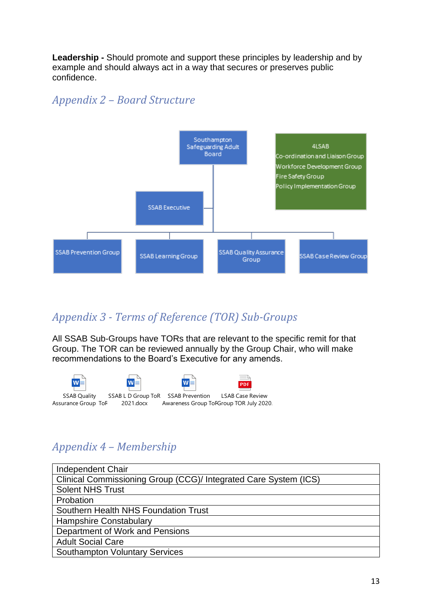**Leadership -** Should promote and support these principles by leadership and by example and should always act in a way that secures or preserves public confidence.

#### *Appendix 2 – Board Structure*



# *Appendix 3 - Terms of Reference (TOR) Sub-Groups*

All SSAB Sub-Groups have TORs that are relevant to the specific remit for that Group. The TOR can be reviewed annually by the Group Chair, who will make recommendations to the Board's Executive for any amends.



# *Appendix 4 – Membership*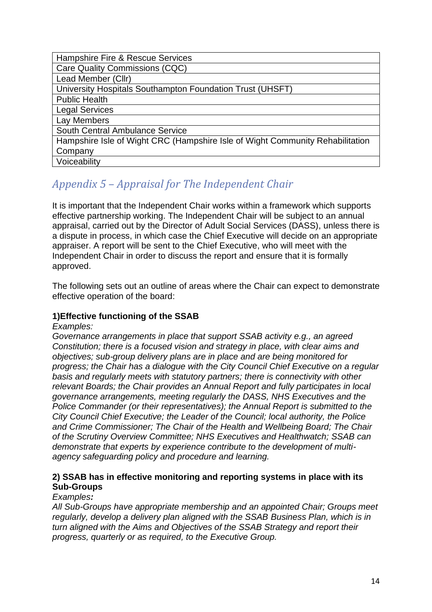| Hampshire Fire & Rescue Services                                              |
|-------------------------------------------------------------------------------|
| Care Quality Commissions (CQC)                                                |
| Lead Member (Cllr)                                                            |
| University Hospitals Southampton Foundation Trust (UHSFT)                     |
| <b>Public Health</b>                                                          |
| <b>Legal Services</b>                                                         |
| Lay Members                                                                   |
| <b>South Central Ambulance Service</b>                                        |
| Hampshire Isle of Wight CRC (Hampshire Isle of Wight Community Rehabilitation |
| Company                                                                       |
| Voiceability                                                                  |

# *Appendix 5 – Appraisal for The Independent Chair*

It is important that the Independent Chair works within a framework which supports effective partnership working. The Independent Chair will be subject to an annual appraisal, carried out by the Director of Adult Social Services (DASS), unless there is a dispute in process, in which case the Chief Executive will decide on an appropriate appraiser. A report will be sent to the Chief Executive, who will meet with the Independent Chair in order to discuss the report and ensure that it is formally approved.

The following sets out an outline of areas where the Chair can expect to demonstrate effective operation of the board:

#### **1)Effective functioning of the SSAB**

#### *Examples:*

*Governance arrangements in place that support SSAB activity e.g., an agreed Constitution; there is a focused vision and strategy in place, with clear aims and objectives; sub-group delivery plans are in place and are being monitored for progress; the Chair has a dialogue with the City Council Chief Executive on a regular basis and regularly meets with statutory partners; there is connectivity with other relevant Boards; the Chair provides an Annual Report and fully participates in local governance arrangements, meeting regularly the DASS, NHS Executives and the Police Commander (or their representatives); the Annual Report is submitted to the City Council Chief Executive; the Leader of the Council; local authority, the Police and Crime Commissioner; The Chair of the Health and Wellbeing Board; The Chair of the Scrutiny Overview Committee; NHS Executives and Healthwatch; SSAB can demonstrate that experts by experience contribute to the development of multiagency safeguarding policy and procedure and learning.*

#### **2) SSAB has in effective monitoring and reporting systems in place with its Sub-Groups**

#### *Examples:*

*All Sub-Groups have appropriate membership and an appointed Chair; Groups meet regularly, develop a delivery plan aligned with the SSAB Business Plan, which is in turn aligned with the Aims and Objectives of the SSAB Strategy and report their progress, quarterly or as required, to the Executive Group.*